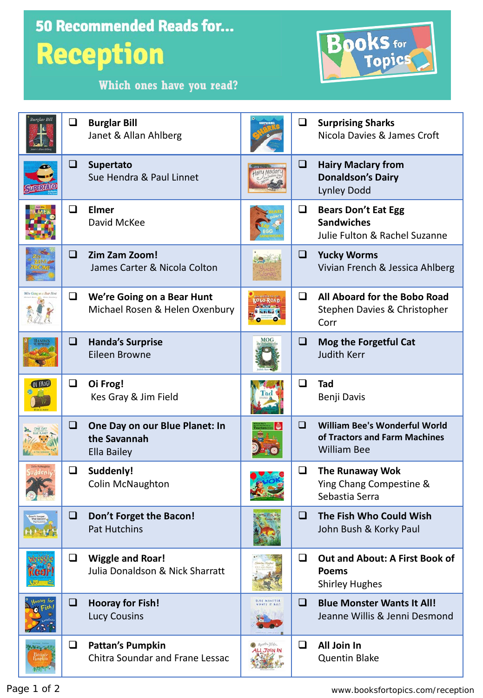| <b>50 Recommended Reads for</b><br>Books for<br><b>Reception</b><br>Which ones have you read? |        |                                                                       |  |        |                                                                                             |  |  |
|-----------------------------------------------------------------------------------------------|--------|-----------------------------------------------------------------------|--|--------|---------------------------------------------------------------------------------------------|--|--|
| <b>Burglar Bill</b>                                                                           | ❏      | <b>Burglar Bill</b><br>Janet & Allan Ahlberg                          |  | ❏      | <b>Surprising Sharks</b><br>Nicola Davies & James Croft                                     |  |  |
|                                                                                               | ❏      | <b>Supertato</b><br>Sue Hendra & Paul Linnet                          |  | $\Box$ | <b>Hairy Maclary from</b><br><b>Donaldson's Dairy</b><br><b>Lynley Dodd</b>                 |  |  |
|                                                                                               | ◻      | <b>Elmer</b><br>David McKee                                           |  | Q.     | <b>Bears Don't Eat Egg</b><br><b>Sandwiches</b><br>Julie Fulton & Rachel Suzanne            |  |  |
|                                                                                               | □      | Zim Zam Zoom!<br>James Carter & Nicola Colton                         |  | ❏      | <b>Yucky Worms</b><br>Vivian French & Jessica Ahlberg                                       |  |  |
|                                                                                               | Q.     | We're Going on a Bear Hunt<br>Michael Rosen & Helen Oxenbury          |  | ❏      | All Aboard for the Bobo Road<br>Stephen Davies & Christopher<br>Corr                        |  |  |
|                                                                                               | ❏      | <b>Handa's Surprise</b><br>Eileen Browne                              |  | ❏      | Mog the Forgetful Cat<br><b>Judith Kerr</b>                                                 |  |  |
|                                                                                               | ❏      | Oi Frog!<br>Kes Gray & Jim Field                                      |  | ◻      | Tad<br>Benji Davis                                                                          |  |  |
|                                                                                               | ப      | One Day on our Blue Planet: In<br>the Savannah<br>Ella Bailey         |  | ப      | <b>William Bee's Wonderful World</b><br>of Tractors and Farm Machines<br><b>William Bee</b> |  |  |
|                                                                                               | $\Box$ | Suddenly!<br><b>Colin McNaughton</b>                                  |  | $\Box$ | <b>The Runaway Wok</b><br>Ying Chang Compestine &<br>Sebastia Serra                         |  |  |
|                                                                                               | ⊔      | Don't Forget the Bacon!<br><b>Pat Hutchins</b>                        |  | ப      | The Fish Who Could Wish<br>John Bush & Korky Paul                                           |  |  |
|                                                                                               | ⊔      | <b>Wiggle and Roar!</b><br><b>Julia Donaldson &amp; Nick Sharratt</b> |  | ❏      | <b>Out and About: A First Book of</b><br><b>Poems</b><br><b>Shirley Hughes</b>              |  |  |
|                                                                                               | ❏      | <b>Hooray for Fish!</b><br><b>Lucy Cousins</b>                        |  | □      | <b>Blue Monster Wants It All!</b><br>Jeanne Willis & Jenni Desmond                          |  |  |
|                                                                                               | ❏      | <b>Pattan's Pumpkin</b><br><b>Chitra Soundar and Frane Lessac</b>     |  | u      | All Join In<br><b>Quentin Blake</b>                                                         |  |  |